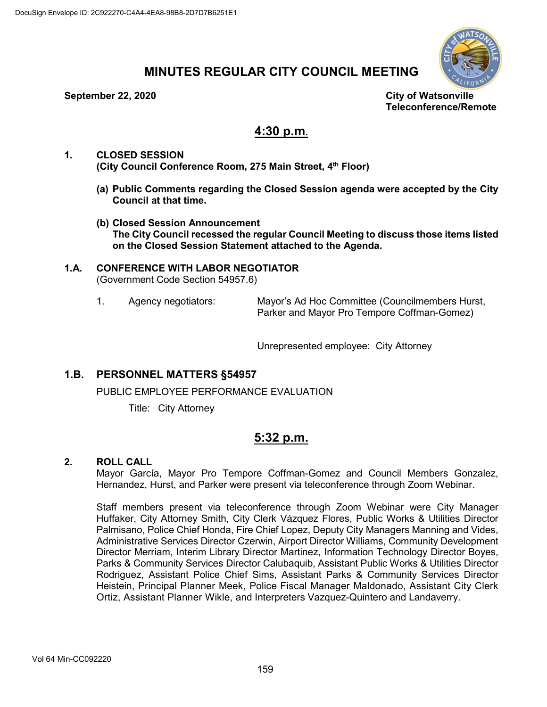

# **MINUTES REGULAR CITY COUNCIL MEETING**

#### **September 22, 2020 City of Watsonville**

**Teleconference/Remote**

## **4:30 p.m.**

- **1. CLOSED SESSION (City Council Conference Room, 275 Main Street, 4th Floor)**
	- **(a) Public Comments regarding the Closed Session agenda were accepted by the City Council at that time.**
	- **(b) Closed Session Announcement The City Council recessed the regular Council Meeting to discuss those items listed on the Closed Session Statement attached to the Agenda.**

### **1.A. CONFERENCE WITH LABOR NEGOTIATOR** (Government Code Section 54957.6)

1. Agency negotiators: Mayor's Ad Hoc Committee (Councilmembers Hurst, Parker and Mayor Pro Tempore Coffman-Gomez)

Unrepresented employee: City Attorney

## **1.B. PERSONNEL MATTERS §54957**

PUBLIC EMPLOYEE PERFORMANCE EVALUATION

Title: City Attorney

## **5:32 p.m.**

## **2. ROLL CALL**

Mayor García, Mayor Pro Tempore Coffman-Gomez and Council Members Gonzalez, Hernandez, Hurst, and Parker were present via teleconference through Zoom Webinar.

Staff members present via teleconference through Zoom Webinar were City Manager Huffaker, City Attorney Smith, City Clerk Vázquez Flores, Public Works & Utilities Director Palmisano, Police Chief Honda, Fire Chief Lopez, Deputy City Managers Manning and Vides, Administrative Services Director Czerwin, Airport Director Williams, Community Development Director Merriam, Interim Library Director Martinez, Information Technology Director Boyes, Parks & Community Services Director Calubaquib, Assistant Public Works & Utilities Director Rodriguez, Assistant Police Chief Sims, Assistant Parks & Community Services Director Heistein, Principal Planner Meek, Police Fiscal Manager Maldonado, Assistant City Clerk Ortiz, Assistant Planner Wikle, and Interpreters Vazquez-Quintero and Landaverry.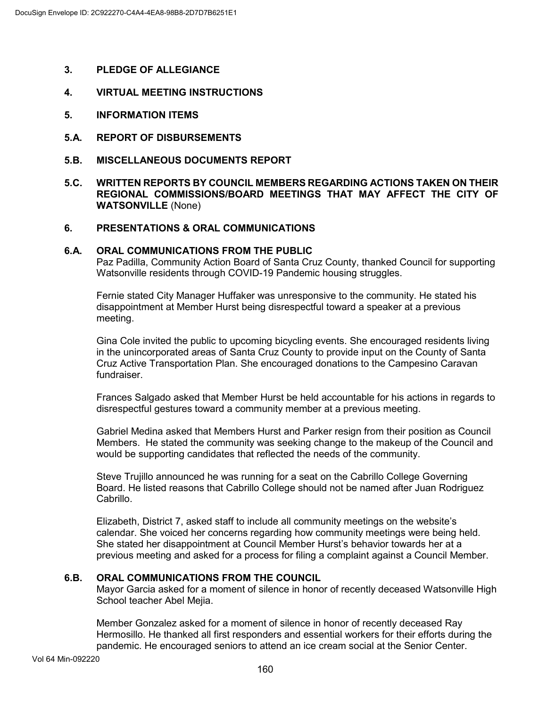- **3. PLEDGE OF ALLEGIANCE**
- **4. VIRTUAL MEETING INSTRUCTIONS**
- **5. INFORMATION ITEMS**
- **5.A. REPORT OF DISBURSEMENTS**
- **5.B. MISCELLANEOUS DOCUMENTS REPORT**
- **5.C. WRITTEN REPORTS BY COUNCIL MEMBERS REGARDING ACTIONS TAKEN ON THEIR REGIONAL COMMISSIONS/BOARD MEETINGS THAT MAY AFFECT THE CITY OF WATSONVILLE** (None)

## **6. PRESENTATIONS & ORAL COMMUNICATIONS**

#### **6.A. ORAL COMMUNICATIONS FROM THE PUBLIC**

Paz Padilla, Community Action Board of Santa Cruz County, thanked Council for supporting Watsonville residents through COVID-19 Pandemic housing struggles.

Fernie stated City Manager Huffaker was unresponsive to the community. He stated his disappointment at Member Hurst being disrespectful toward a speaker at a previous meeting.

Gina Cole invited the public to upcoming bicycling events. She encouraged residents living in the unincorporated areas of Santa Cruz County to provide input on the County of Santa Cruz Active Transportation Plan. She encouraged donations to the Campesino Caravan fundraiser.

Frances Salgado asked that Member Hurst be held accountable for his actions in regards to disrespectful gestures toward a community member at a previous meeting.

Gabriel Medina asked that Members Hurst and Parker resign from their position as Council Members. He stated the community was seeking change to the makeup of the Council and would be supporting candidates that reflected the needs of the community.

Steve Trujillo announced he was running for a seat on the Cabrillo College Governing Board. He listed reasons that Cabrillo College should not be named after Juan Rodriguez Cabrillo.

Elizabeth, District 7, asked staff to include all community meetings on the website's calendar. She voiced her concerns regarding how community meetings were being held. She stated her disappointment at Council Member Hurst's behavior towards her at a previous meeting and asked for a process for filing a complaint against a Council Member.

## **6.B. ORAL COMMUNICATIONS FROM THE COUNCIL**

Mayor Garcia asked for a moment of silence in honor of recently deceased Watsonville High School teacher Abel Mejia.

Member Gonzalez asked for a moment of silence in honor of recently deceased Ray Hermosillo. He thanked all first responders and essential workers for their efforts during the pandemic. He encouraged seniors to attend an ice cream social at the Senior Center.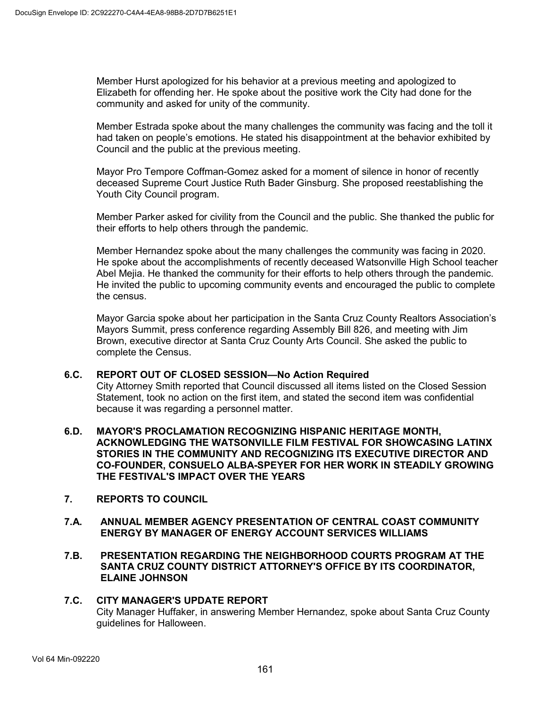Member Hurst apologized for his behavior at a previous meeting and apologized to Elizabeth for offending her. He spoke about the positive work the City had done for the community and asked for unity of the community.

Member Estrada spoke about the many challenges the community was facing and the toll it had taken on people's emotions. He stated his disappointment at the behavior exhibited by Council and the public at the previous meeting.

Mayor Pro Tempore Coffman-Gomez asked for a moment of silence in honor of recently deceased Supreme Court Justice Ruth Bader Ginsburg. She proposed reestablishing the Youth City Council program.

Member Parker asked for civility from the Council and the public. She thanked the public for their efforts to help others through the pandemic.

Member Hernandez spoke about the many challenges the community was facing in 2020. He spoke about the accomplishments of recently deceased Watsonville High School teacher Abel Mejia. He thanked the community for their efforts to help others through the pandemic. He invited the public to upcoming community events and encouraged the public to complete the census.

Mayor Garcia spoke about her participation in the Santa Cruz County Realtors Association's Mayors Summit, press conference regarding Assembly Bill 826, and meeting with Jim Brown, executive director at Santa Cruz County Arts Council. She asked the public to complete the Census.

## **6.C. REPORT OUT OF CLOSED SESSION—No Action Required**

City Attorney Smith reported that Council discussed all items listed on the Closed Session Statement, took no action on the first item, and stated the second item was confidential because it was regarding a personnel matter.

- **6.D. MAYOR'S PROCLAMATION RECOGNIZING HISPANIC HERITAGE MONTH, ACKNOWLEDGING THE WATSONVILLE FILM FESTIVAL FOR SHOWCASING LATINX STORIES IN THE COMMUNITY AND RECOGNIZING ITS EXECUTIVE DIRECTOR AND CO-FOUNDER, CONSUELO ALBA-SPEYER FOR HER WORK IN STEADILY GROWING THE FESTIVAL'S IMPACT OVER THE YEARS**
- **7. REPORTS TO COUNCIL**
- **7.A. ANNUAL MEMBER AGENCY PRESENTATION OF CENTRAL COAST COMMUNITY ENERGY BY MANAGER OF ENERGY ACCOUNT SERVICES WILLIAMS**
- **7.B. PRESENTATION REGARDING THE NEIGHBORHOOD COURTS PROGRAM AT THE SANTA CRUZ COUNTY DISTRICT ATTORNEY'S OFFICE BY ITS COORDINATOR, ELAINE JOHNSON**

#### **7.C. CITY MANAGER'S UPDATE REPORT** City Manager Huffaker, in answering Member Hernandez, spoke about Santa Cruz County guidelines for Halloween.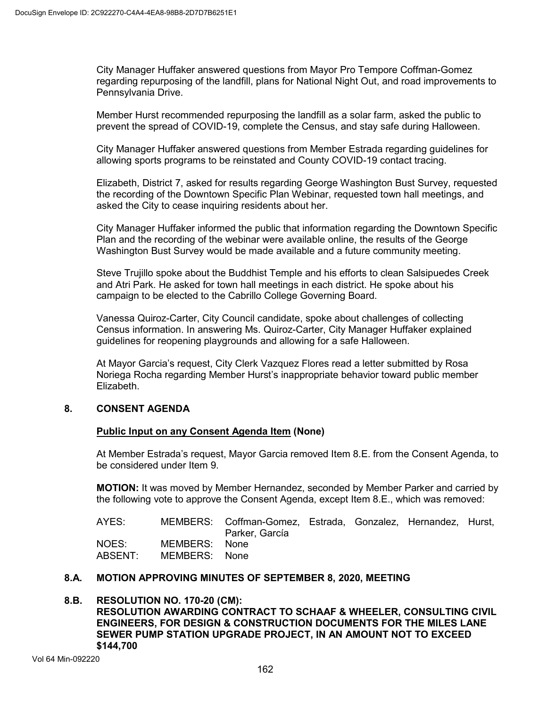City Manager Huffaker answered questions from Mayor Pro Tempore Coffman-Gomez regarding repurposing of the landfill, plans for National Night Out, and road improvements to Pennsylvania Drive.

Member Hurst recommended repurposing the landfill as a solar farm, asked the public to prevent the spread of COVID-19, complete the Census, and stay safe during Halloween.

City Manager Huffaker answered questions from Member Estrada regarding guidelines for allowing sports programs to be reinstated and County COVID-19 contact tracing.

Elizabeth, District 7, asked for results regarding George Washington Bust Survey, requested the recording of the Downtown Specific Plan Webinar, requested town hall meetings, and asked the City to cease inquiring residents about her.

City Manager Huffaker informed the public that information regarding the Downtown Specific Plan and the recording of the webinar were available online, the results of the George Washington Bust Survey would be made available and a future community meeting.

Steve Trujillo spoke about the Buddhist Temple and his efforts to clean Salsipuedes Creek and Atri Park. He asked for town hall meetings in each district. He spoke about his campaign to be elected to the Cabrillo College Governing Board.

Vanessa Quiroz-Carter, City Council candidate, spoke about challenges of collecting Census information. In answering Ms. Quiroz-Carter, City Manager Huffaker explained guidelines for reopening playgrounds and allowing for a safe Halloween.

At Mayor Garcia's request, City Clerk Vazquez Flores read a letter submitted by Rosa Noriega Rocha regarding Member Hurst's inappropriate behavior toward public member Elizabeth.

## **8. CONSENT AGENDA**

## **Public Input on any Consent Agenda Item (None)**

At Member Estrada's request, Mayor Garcia removed Item 8.E. from the Consent Agenda, to be considered under Item 9.

**MOTION:** It was moved by Member Hernandez, seconded by Member Parker and carried by the following vote to approve the Consent Agenda, except Item 8.E., which was removed:

AYES: MEMBERS: Coffman-Gomez, Estrada, Gonzalez, Hernandez, Hurst, Parker, García NOES: MEMBERS: None<br>ABSENT: MEMBERS: None MEMBERS: None

## **8.A. MOTION APPROVING MINUTES OF SEPTEMBER 8, 2020, MEETING**

### **8.B. RESOLUTION NO. 170-20 (CM): RESOLUTION AWARDING CONTRACT TO SCHAAF & WHEELER, CONSULTING CIVIL ENGINEERS, FOR DESIGN & CONSTRUCTION DOCUMENTS FOR THE MILES LANE SEWER PUMP STATION UPGRADE PROJECT, IN AN AMOUNT NOT TO EXCEED \$144,700**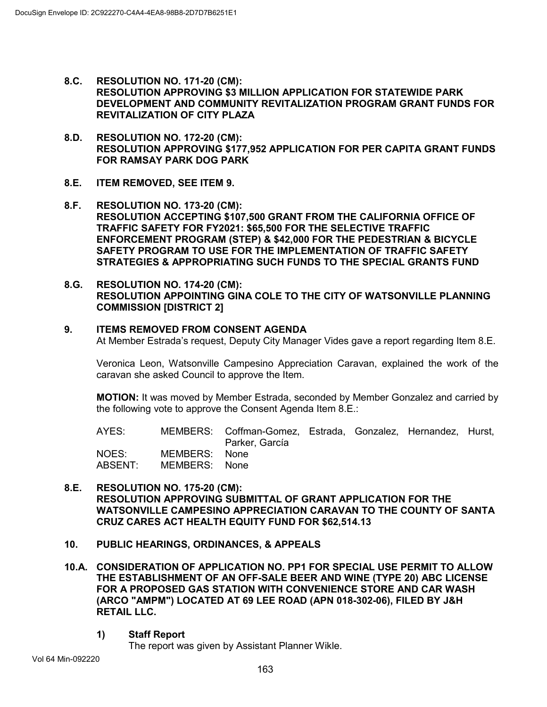- **8.C. RESOLUTION NO. 171-20 (CM): RESOLUTION APPROVING \$3 MILLION APPLICATION FOR STATEWIDE PARK DEVELOPMENT AND COMMUNITY REVITALIZATION PROGRAM GRANT FUNDS FOR REVITALIZATION OF CITY PLAZA**
- **8.D. RESOLUTION NO. 172-20 (CM): RESOLUTION APPROVING \$177,952 APPLICATION FOR PER CAPITA GRANT FUNDS FOR RAMSAY PARK DOG PARK**
- **8.E. ITEM REMOVED, SEE ITEM 9.**
- **8.F. RESOLUTION NO. 173-20 (CM): RESOLUTION ACCEPTING \$107,500 GRANT FROM THE CALIFORNIA OFFICE OF TRAFFIC SAFETY FOR FY2021: \$65,500 FOR THE SELECTIVE TRAFFIC ENFORCEMENT PROGRAM (STEP) & \$42,000 FOR THE PEDESTRIAN & BICYCLE SAFETY PROGRAM TO USE FOR THE IMPLEMENTATION OF TRAFFIC SAFETY STRATEGIES & APPROPRIATING SUCH FUNDS TO THE SPECIAL GRANTS FUND**
- **8.G. RESOLUTION NO. 174-20 (CM): RESOLUTION APPOINTING GINA COLE TO THE CITY OF WATSONVILLE PLANNING COMMISSION [DISTRICT 2]**

### **9. ITEMS REMOVED FROM CONSENT AGENDA**

At Member Estrada's request, Deputy City Manager Vides gave a report regarding Item 8.E.

Veronica Leon, Watsonville Campesino Appreciation Caravan, explained the work of the caravan she asked Council to approve the Item.

**MOTION:** It was moved by Member Estrada, seconded by Member Gonzalez and carried by the following vote to approve the Consent Agenda Item 8.E.:

AYES: MEMBERS: Coffman-Gomez, Estrada, Gonzalez, Hernandez, Hurst, Parker, García

| NOES:   | MEMBERS: | None |
|---------|----------|------|
| ABSENT: | MEMBERS: | None |

### **8.E. RESOLUTION NO. 175-20 (CM): RESOLUTION APPROVING SUBMITTAL OF GRANT APPLICATION FOR THE WATSONVILLE CAMPESINO APPRECIATION CARAVAN TO THE COUNTY OF SANTA CRUZ CARES ACT HEALTH EQUITY FUND FOR \$62,514.13**

- **10. PUBLIC HEARINGS, ORDINANCES, & APPEALS**
- **10.A. CONSIDERATION OF APPLICATION NO. PP1 FOR SPECIAL USE PERMIT TO ALLOW THE ESTABLISHMENT OF AN OFF-SALE BEER AND WINE (TYPE 20) ABC LICENSE FOR A PROPOSED GAS STATION WITH CONVENIENCE STORE AND CAR WASH (ARCO "AMPM") LOCATED AT 69 LEE ROAD (APN 018-302-06), FILED BY J&H RETAIL LLC.**
	- **1) Staff Report**

The report was given by Assistant Planner Wikle.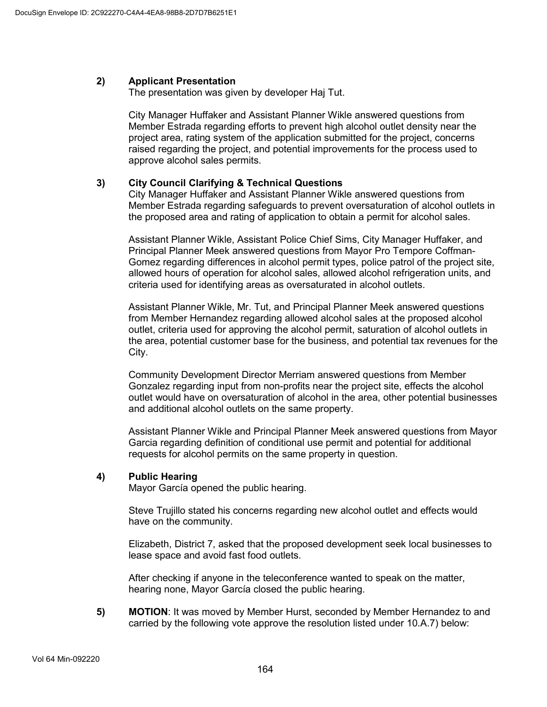## **2) Applicant Presentation**

The presentation was given by developer Haj Tut.

City Manager Huffaker and Assistant Planner Wikle answered questions from Member Estrada regarding efforts to prevent high alcohol outlet density near the project area, rating system of the application submitted for the project, concerns raised regarding the project, and potential improvements for the process used to approve alcohol sales permits.

## **3) City Council Clarifying & Technical Questions**

City Manager Huffaker and Assistant Planner Wikle answered questions from Member Estrada regarding safeguards to prevent oversaturation of alcohol outlets in the proposed area and rating of application to obtain a permit for alcohol sales.

Assistant Planner Wikle, Assistant Police Chief Sims, City Manager Huffaker, and Principal Planner Meek answered questions from Mayor Pro Tempore Coffman-Gomez regarding differences in alcohol permit types, police patrol of the project site, allowed hours of operation for alcohol sales, allowed alcohol refrigeration units, and criteria used for identifying areas as oversaturated in alcohol outlets.

Assistant Planner Wikle, Mr. Tut, and Principal Planner Meek answered questions from Member Hernandez regarding allowed alcohol sales at the proposed alcohol outlet, criteria used for approving the alcohol permit, saturation of alcohol outlets in the area, potential customer base for the business, and potential tax revenues for the City.

Community Development Director Merriam answered questions from Member Gonzalez regarding input from non-profits near the project site, effects the alcohol outlet would have on oversaturation of alcohol in the area, other potential businesses and additional alcohol outlets on the same property.

Assistant Planner Wikle and Principal Planner Meek answered questions from Mayor Garcia regarding definition of conditional use permit and potential for additional requests for alcohol permits on the same property in question.

## **4) Public Hearing**

Mayor García opened the public hearing.

Steve Trujillo stated his concerns regarding new alcohol outlet and effects would have on the community.

Elizabeth, District 7, asked that the proposed development seek local businesses to lease space and avoid fast food outlets.

After checking if anyone in the teleconference wanted to speak on the matter, hearing none, Mayor García closed the public hearing.

**5) MOTION**: It was moved by Member Hurst, seconded by Member Hernandez to and carried by the following vote approve the resolution listed under 10.A.7) below: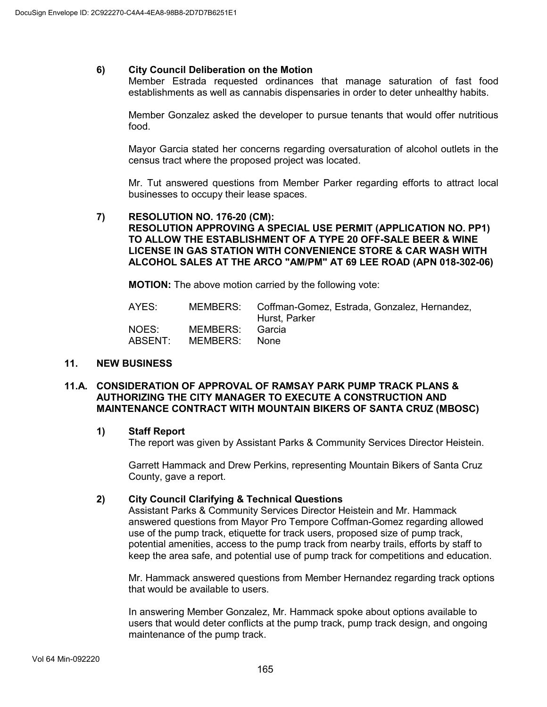## **6) City Council Deliberation on the Motion**

Member Estrada requested ordinances that manage saturation of fast food establishments as well as cannabis dispensaries in order to deter unhealthy habits.

Member Gonzalez asked the developer to pursue tenants that would offer nutritious food.

Mayor Garcia stated her concerns regarding oversaturation of alcohol outlets in the census tract where the proposed project was located.

Mr. Tut answered questions from Member Parker regarding efforts to attract local businesses to occupy their lease spaces.

#### **7) RESOLUTION NO. 176-20 (CM): RESOLUTION APPROVING A SPECIAL USE PERMIT (APPLICATION NO. PP1) TO ALLOW THE ESTABLISHMENT OF A TYPE 20 OFF-SALE BEER & WINE LICENSE IN GAS STATION WITH CONVENIENCE STORE & CAR WASH WITH ALCOHOL SALES AT THE ARCO "AM/PM" AT 69 LEE ROAD (APN 018-302-06)**

**MOTION:** The above motion carried by the following vote:

| AYES:            |                                  | MEMBERS: Coffman-Gomez, Estrada, Gonzalez, Hernandez,<br>Hurst, Parker |
|------------------|----------------------------------|------------------------------------------------------------------------|
| NOES:<br>ABSENT: | MEMBERS: Garcia<br>MEMBERS: None |                                                                        |

#### **11. NEW BUSINESS**

#### **11.A. CONSIDERATION OF APPROVAL OF RAMSAY PARK PUMP TRACK PLANS & AUTHORIZING THE CITY MANAGER TO EXECUTE A CONSTRUCTION AND MAINTENANCE CONTRACT WITH MOUNTAIN BIKERS OF SANTA CRUZ (MBOSC)**

#### **1) Staff Report**

The report was given by Assistant Parks & Community Services Director Heistein.

Garrett Hammack and Drew Perkins, representing Mountain Bikers of Santa Cruz County, gave a report.

#### **2) City Council Clarifying & Technical Questions**

Assistant Parks & Community Services Director Heistein and Mr. Hammack answered questions from Mayor Pro Tempore Coffman-Gomez regarding allowed use of the pump track, etiquette for track users, proposed size of pump track, potential amenities, access to the pump track from nearby trails, efforts by staff to keep the area safe, and potential use of pump track for competitions and education.

Mr. Hammack answered questions from Member Hernandez regarding track options that would be available to users.

In answering Member Gonzalez, Mr. Hammack spoke about options available to users that would deter conflicts at the pump track, pump track design, and ongoing maintenance of the pump track.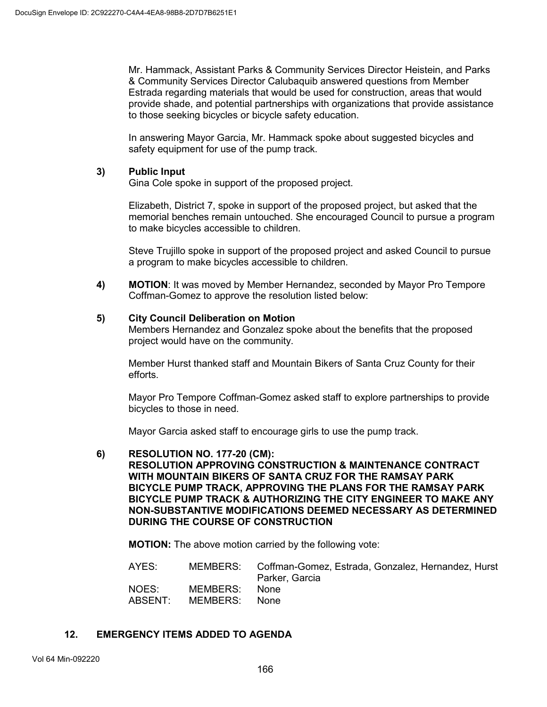Mr. Hammack, Assistant Parks & Community Services Director Heistein, and Parks & Community Services Director Calubaquib answered questions from Member Estrada regarding materials that would be used for construction, areas that would provide shade, and potential partnerships with organizations that provide assistance to those seeking bicycles or bicycle safety education.

In answering Mayor Garcia, Mr. Hammack spoke about suggested bicycles and safety equipment for use of the pump track.

## **3) Public Input**

Gina Cole spoke in support of the proposed project.

Elizabeth, District 7, spoke in support of the proposed project, but asked that the memorial benches remain untouched. She encouraged Council to pursue a program to make bicycles accessible to children.

Steve Trujillo spoke in support of the proposed project and asked Council to pursue a program to make bicycles accessible to children.

**4) MOTION**: It was moved by Member Hernandez, seconded by Mayor Pro Tempore Coffman-Gomez to approve the resolution listed below:

### **5) City Council Deliberation on Motion**

Members Hernandez and Gonzalez spoke about the benefits that the proposed project would have on the community.

Member Hurst thanked staff and Mountain Bikers of Santa Cruz County for their efforts.

Mayor Pro Tempore Coffman-Gomez asked staff to explore partnerships to provide bicycles to those in need.

Mayor Garcia asked staff to encourage girls to use the pump track.

#### **6) RESOLUTION NO. 177-20 (CM):**

**RESOLUTION APPROVING CONSTRUCTION & MAINTENANCE CONTRACT WITH MOUNTAIN BIKERS OF SANTA CRUZ FOR THE RAMSAY PARK BICYCLE PUMP TRACK, APPROVING THE PLANS FOR THE RAMSAY PARK BICYCLE PUMP TRACK & AUTHORIZING THE CITY ENGINEER TO MAKE ANY NON-SUBSTANTIVE MODIFICATIONS DEEMED NECESSARY AS DETERMINED DURING THE COURSE OF CONSTRUCTION**

**MOTION:** The above motion carried by the following vote:

AYES: MEMBERS: Coffman-Gomez, Estrada, Gonzalez, Hernandez, Hurst Parker, Garcia NOES: MEMBERS: None<br>ABSENT: MEMBERS: None MEMBERS:

#### **12. EMERGENCY ITEMS ADDED TO AGENDA**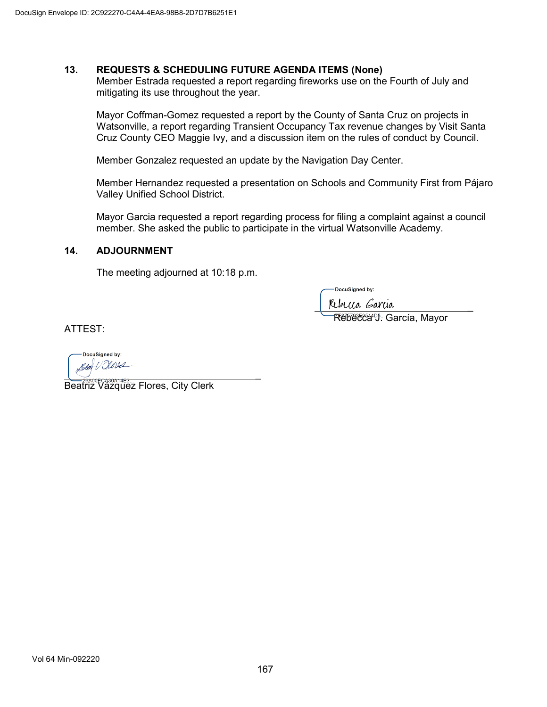## **13. REQUESTS & SCHEDULING FUTURE AGENDA ITEMS (None)**

Member Estrada requested a report regarding fireworks use on the Fourth of July and mitigating its use throughout the year.

Mayor Coffman-Gomez requested a report by the County of Santa Cruz on projects in Watsonville, a report regarding Transient Occupancy Tax revenue changes by Visit Santa Cruz County CEO Maggie Ivy, and a discussion item on the rules of conduct by Council.

Member Gonzalez requested an update by the Navigation Day Center.

Member Hernandez requested a presentation on Schools and Community First from Pájaro Valley Unified School District.

Mayor Garcia requested a report regarding process for filing a complaint against a council member. She asked the public to participate in the virtual Watsonville Academy.

#### **14. ADJOURNMENT**

The meeting adjourned at 10:18 p.m.

DocuSianed by:

becca Garcia

स्<del>धाधट</del>स्थि<sup>ण</sup>∵ García, Mayor

ATTEST:

DocuSigned by: V Olors Blat  $\sqrt{2}$ 

Beatriz Vázquez Flores, City Clerk